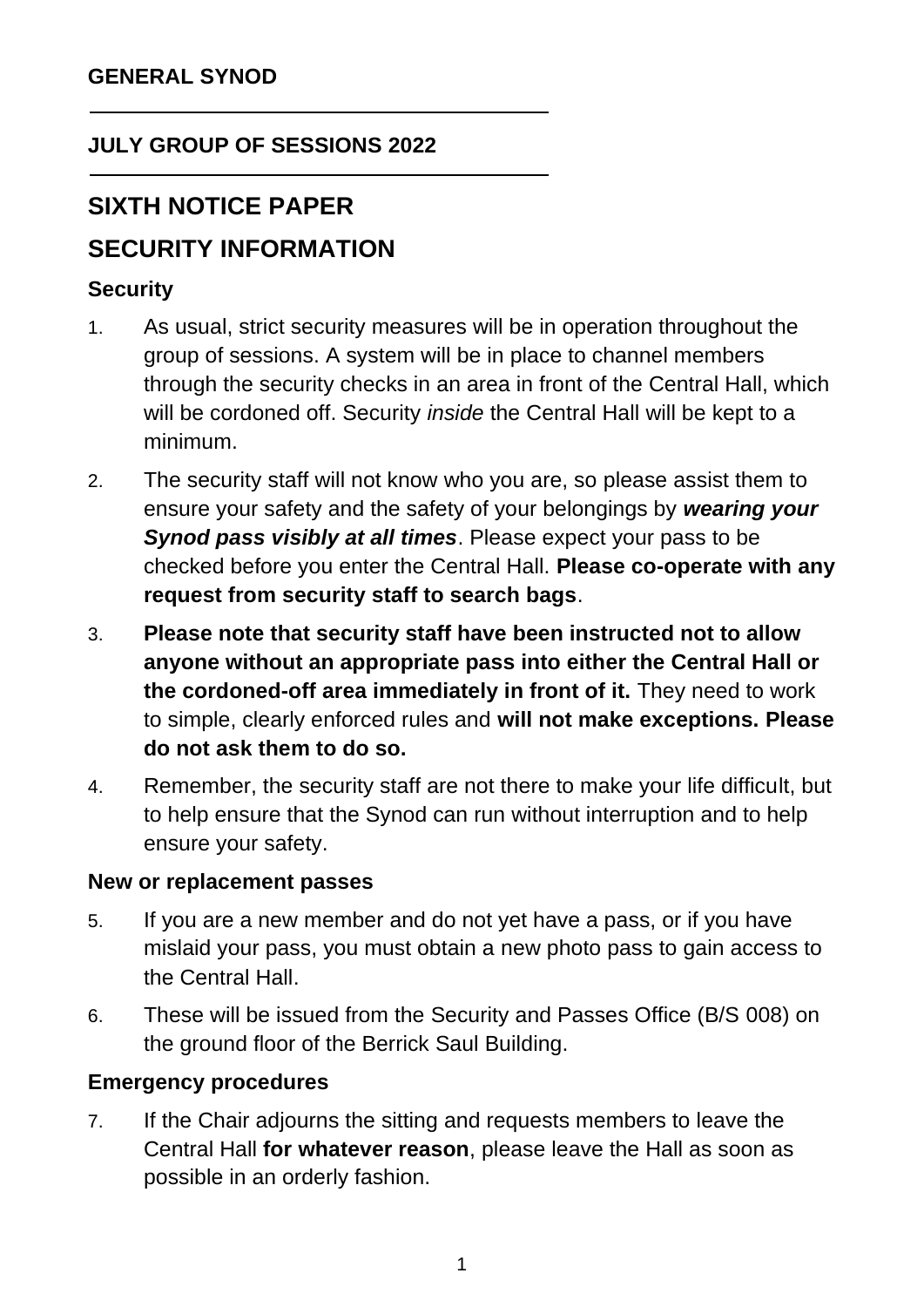### **JULY GROUP OF SESSIONS 2022**

# **SIXTH NOTICE PAPER**

# **SECURITY INFORMATION**

### **Security**

- 1. As usual, strict security measures will be in operation throughout the group of sessions. A system will be in place to channel members through the security checks in an area in front of the Central Hall, which will be cordoned off. Security *inside* the Central Hall will be kept to a minimum.
- 2. The security staff will not know who you are, so please assist them to ensure your safety and the safety of your belongings by *wearing your Synod pass visibly at all times*. Please expect your pass to be checked before you enter the Central Hall. **Please co-operate with any request from security staff to search bags**.
- 3. **Please note that security staff have been instructed not to allow anyone without an appropriate pass into either the Central Hall or the cordoned-off area immediately in front of it.** They need to work to simple, clearly enforced rules and **will not make exceptions. Please do not ask them to do so.**
- 4. Remember, the security staff are not there to make your life difficult, but to help ensure that the Synod can run without interruption and to help ensure your safety.

#### **New or replacement passes**

- 5. If you are a new member and do not yet have a pass, or if you have mislaid your pass, you must obtain a new photo pass to gain access to the Central Hall.
- 6. These will be issued from the Security and Passes Office (B/S 008) on the ground floor of the Berrick Saul Building.

#### **Emergency procedures**

7. If the Chair adjourns the sitting and requests members to leave the Central Hall **for whatever reason**, please leave the Hall as soon as possible in an orderly fashion.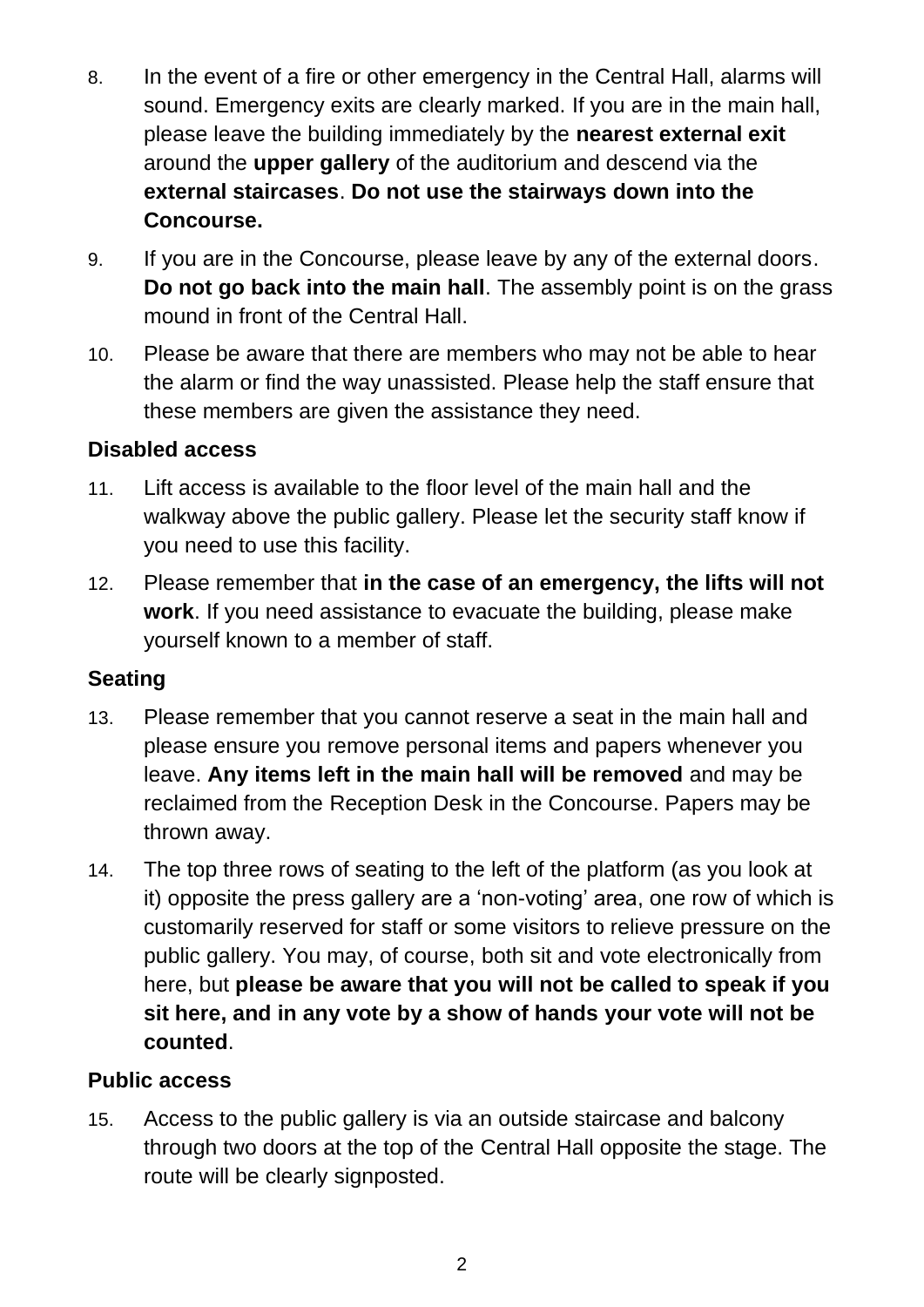- 8. In the event of a fire or other emergency in the Central Hall, alarms will sound. Emergency exits are clearly marked. If you are in the main hall, please leave the building immediately by the **nearest external exit** around the **upper gallery** of the auditorium and descend via the **external staircases**. **Do not use the stairways down into the Concourse.**
- 9. If you are in the Concourse, please leave by any of the external doors. **Do not go back into the main hall**. The assembly point is on the grass mound in front of the Central Hall.
- 10. Please be aware that there are members who may not be able to hear the alarm or find the way unassisted. Please help the staff ensure that these members are given the assistance they need.

### **Disabled access**

- 11. Lift access is available to the floor level of the main hall and the walkway above the public gallery. Please let the security staff know if you need to use this facility.
- 12. Please remember that **in the case of an emergency, the lifts will not work**. If you need assistance to evacuate the building, please make yourself known to a member of staff.

#### **Seating**

- 13. Please remember that you cannot reserve a seat in the main hall and please ensure you remove personal items and papers whenever you leave. **Any items left in the main hall will be removed** and may be reclaimed from the Reception Desk in the Concourse. Papers may be thrown away.
- 14. The top three rows of seating to the left of the platform (as you look at it) opposite the press gallery are a 'non-voting' area, one row of which is customarily reserved for staff or some visitors to relieve pressure on the public gallery. You may, of course, both sit and vote electronically from here, but **please be aware that you will not be called to speak if you sit here, and in any vote by a show of hands your vote will not be counted**.

#### **Public access**

15. Access to the public gallery is via an outside staircase and balcony through two doors at the top of the Central Hall opposite the stage. The route will be clearly signposted.